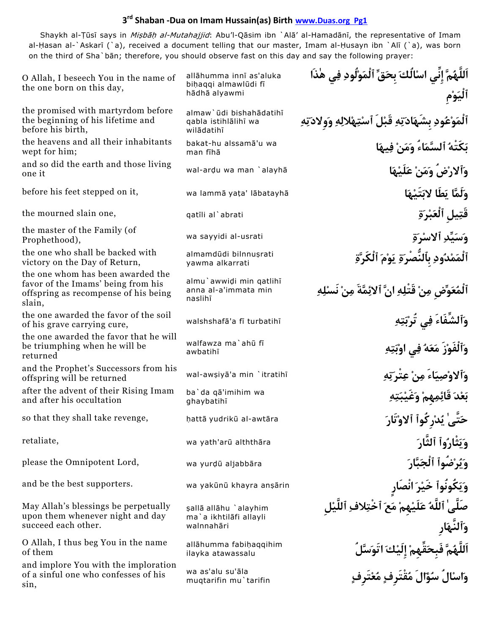## **3rd Shaban ‐Dua on Imam Hussain(as) Birth www.Duas.org Pg1**

Shaykh al-Țūsī says in *Mişbāḥ al-Mutahajjid*: Abu'l-Qāsim ibn `Alā' al-Hamadānī, the representative of Imam al-Hasan al-`Askarī (`a), received a document telling that our master, Imam al-Ḥusayn ibn `Alī (`a), was born on the third of Sha`bān; therefore, you should observe fast on this day and say the following prayer:

| O Allah, I beseech You in the name of<br>the one born on this day,                                                        | allāhumma innī as'aluka<br>bihaqqi almawlūdi fī               | اَللَّهُمَّ إِنِّي اسْأَلُكَ بِحَقِّ ٱلْمَوْلُودِ فِي هٰذَا                             |
|---------------------------------------------------------------------------------------------------------------------------|---------------------------------------------------------------|-----------------------------------------------------------------------------------------|
|                                                                                                                           | hādhā alyawmi                                                 | ٱلْيَوْم                                                                                |
| the promised with martyrdom before<br>the beginning of his lifetime and<br>before his birth,                              | almaw'ūdi bishahādatihī<br>qabla istihlālihī wa<br>wilādatihī | ٱلْمَوْعُودِ بِشَهَادَتِهِ قَبْلَ ٱسْتِهْلالِهِ وَولادَتِهِ                             |
| the heavens and all their inhabitants<br>wept for him;                                                                    | bakat-hu alssamā'u wa<br>man fīhā                             | بَكَتْهُ ٱلسَّمَاءُ وَمَنْ فِيهَا                                                       |
| and so did the earth and those living<br>one it                                                                           | wal-ardu wa man `alayhā                                       | وآلارْضُ وَمَنْ عَلَيْهَا                                                               |
| before his feet stepped on it,                                                                                            | wa lammā yata' lābatayhā                                      | وَلَمَّا يَطَا لابَتَيْهَا                                                              |
| the mourned slain one,                                                                                                    | qatīli al`abrati                                              | قَتِيل ٱلْعَبْرَةِ                                                                      |
| the master of the Family (of<br>Prophethood),                                                                             | wa sayyidi al-usrati                                          | وَسَيِّدِ ٱلاسْرَةِ                                                                     |
| the one who shall be backed with<br>victory on the Day of Return,                                                         | almamdūdi bilnnuşrati<br>yawma alkarrati                      | ٱلْمَمْدُودِ بِٱلنَّصْرَةِ يَوْمَ ٱلْكَرَّةِ                                            |
| the one whom has been awarded the<br>favor of the Imams' being from his<br>offspring as recompense of his being<br>slain, | almu'awwidi min qatlihī<br>anna al-a'immata min<br>naslihī    | ٱلْمُعَوِّض مِنْ قَتْلِهِ انَّ ٱلائِمَّةَ مِنْ نَسْلِهِ                                 |
| the one awarded the favor of the soil<br>of his grave carrying cure,                                                      | walshshafā'a fī turbatihī                                     | وَٱلشَّفَاءَ فِي تُرْبَتِهِ                                                             |
| the one awarded the favor that he will<br>be triumphing when he will be<br>returned                                       | walfawza ma`ahū fī<br>awbatihī                                | وَٱلْفَوْزَ مَعَهُ فِي اوْبَتِهِ                                                        |
| and the Prophet's Successors from his<br>offspring will be returned                                                       | wal-awsiya'a min `itratihī                                    | وَٱلاوْصِيَاءَ مِنْ عِتْرَتِهِ                                                          |
| after the advent of their Rising Imam<br>and after his occultation                                                        | ba'da qā'imihim wa<br>ghaybatihī                              | بَعْدَ قَائِمِهمْ وَغَيْبَتِهِ                                                          |
| so that they shall take revenge,                                                                                          | hattā yudrikū al-awtāra                                       | حَتَّىٰ يُدْرِكُواْ اْلاوْتَارَ                                                         |
| retaliate,                                                                                                                | wa yath'arū alththāra                                         | وَيَثْارُواْ اْلثَّارَ                                                                  |
| please the Omnipotent Lord,                                                                                               | wa yurdū aljabbāra                                            | وَيُرْضُواْ ٱلْجَبَّارَ                                                                 |
| and be the best supporters.                                                                                               | wa yakūnū khayra anşārin                                      | وَيَكُونُواْ خَيْرَ انْصَارِ                                                            |
| May Allah's blessings be perpetually<br>upon them whenever night and day<br>succeed each other.                           | şallā allāhu `alayhim<br>ma`a ikhtilāfi allayli<br>walnnahāri | صَلَّىٰ ٱللَّهُ عَلَيْهِمْ مَعَ ٱخْتِلافِ ٱللَّيْل                                      |
| O Allah, I thus beg You in the name<br>of them                                                                            | allāhumma fabihaqqihim<br>ilayka atawassalu                   |                                                                                         |
| and implore You with the imploration<br>of a sinful one who confesses of his<br>sin,                                      | wa as'alu su'āla<br>muqtarifin mu'tarifin                     | ٱللَّهُمَّ فَبِحَقِّهِمْ إِلَيْكَ اتَوَسَّلُ<br>وَاسْالُ سُوَّالَ مُقْتَرِفٍ مُعْتَرِفٍ |